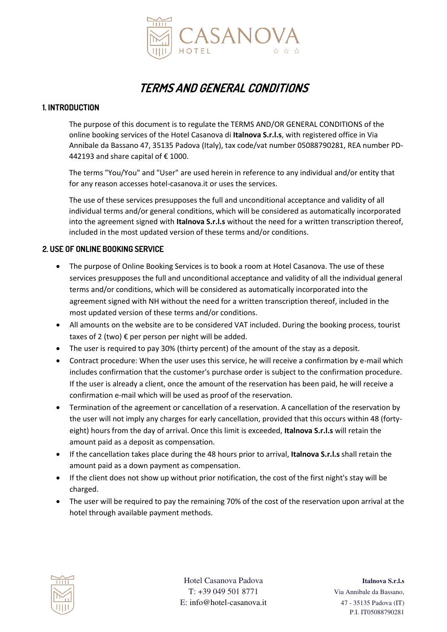

# **TERMS AND GENERAL CONDITIONS**

## **1. INTRODUCTION**

The purpose of this document is to regulate the TERMS AND/OR GENERAL CONDITIONS of the online booking services of the Hotel Casanova di **Italnova S.r.l.s**, with registered office in Via Annibale da Bassano 47, 35135 Padova (Italy), tax code/vat number 05088790281, REA number PD-442193 and share capital of  $\epsilon$  1000.

The terms "You/You" and "User" are used herein in reference to any individual and/or entity that for any reason accesses hotel-casanova.it or uses the services.

The use of these services presupposes the full and unconditional acceptance and validity of all individual terms and/or general conditions, which will be considered as automatically incorporated into the agreement signed with **Italnova S.r.l.s** without the need for a written transcription thereof, included in the most updated version of these terms and/or conditions.

# **2. USE OF ONLINE BOOKING SERVICE**

- The purpose of Online Booking Services is to book a room at Hotel Casanova. The use of these services presupposes the full and unconditional acceptance and validity of all the individual general terms and/or conditions, which will be considered as automatically incorporated into the agreement signed with NH without the need for a written transcription thereof, included in the most updated version of these terms and/or conditions.
- All amounts on the website are to be considered VAT included. During the booking process, tourist taxes of 2 (two) € per person per night will be added.
- The user is required to pay 30% (thirty percent) of the amount of the stay as a deposit.
- Contract procedure: When the user uses this service, he will receive a confirmation by e-mail which includes confirmation that the customer's purchase order is subject to the confirmation procedure. If the user is already a client, once the amount of the reservation has been paid, he will receive a confirmation e-mail which will be used as proof of the reservation.
- Termination of the agreement or cancellation of a reservation. A cancellation of the reservation by the user will not imply any charges for early cancellation, provided that this occurs within 48 (fortyeight) hours from the day of arrival. Once this limit is exceeded, **Italnova S.r.l.s** will retain the amount paid as a deposit as compensation.
- If the cancellation takes place during the 48 hours prior to arrival, **Italnova S.r.l.s** shall retain the amount paid as a down payment as compensation.
- If the client does not show up without prior notification, the cost of the first night's stay will be charged.
- The user will be required to pay the remaining 70% of the cost of the reservation upon arrival at the hotel through available payment methods.



Hotel Casanova Padova **Italnova S.r.l.s** T: +39 049 501 8771 Via Annibale da Bassano, E: info@hotel-casanova.it 47 - 35135 Padova (IT)

P.I. IT05088790281